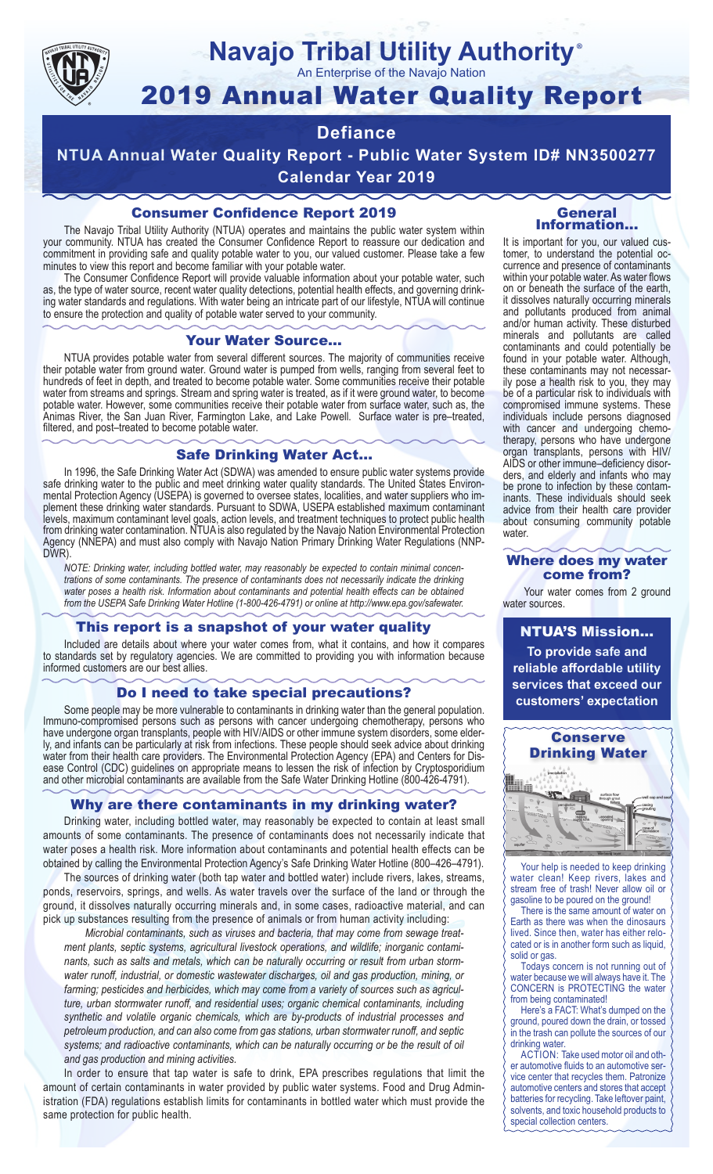

#### **Navajo Tribal Utility Authority** ®

An Enterprise of the Navajo Nation

# 2019 Annual Water Quality Report

# **Defiance**

**NTUA Annual Water Quality Report - Public Water System ID# NN3500277 Calendar Year 2019**

### Consumer Confidence Report 2019

The Navajo Tribal Utility Authority (NTUA) operates and maintains the public water system within your community. NTUA has created the Consumer Confidence Report to reassure our dedication and commitment in providing safe and quality potable water to you, our valued customer. Please take a few minutes to view this report and become familiar with your potable water.

The Consumer Confidence Report will provide valuable information about your potable water, such as, the type of water source, recent water quality detections, potential health effects, and governing drinking water standards and regulations. With water being an intricate part of our lifestyle, NTUA will continue to ensure the protection and quality of potable water served to your community.

#### Your Water Source…

NTUA provides potable water from several different sources. The majority of communities receive their potable water from ground water. Ground water is pumped from wells, ranging from several feet to hundreds of feet in depth, and treated to become potable water. Some communities receive their potable water from streams and springs. Stream and spring water is treated, as if it were ground water, to become potable water. However, some communities receive their potable water from surface water, such as, the Animas River, the San Juan River, Farmington Lake, and Lake Powell. Surface water is pre–treated, filtered, and post–treated to become potable water.

#### Safe Drinking Water Act…

In 1996, the Safe Drinking Water Act (SDWA) was amended to ensure public water systems provide safe drinking water to the public and meet drinking water quality standards. The United States Environmental Protection Agency (USEPA) is governed to oversee states, localities, and water suppliers who implement these drinking water standards. Pursuant to SDWA, USEPA established maximum contaminant levels, maximum contaminant level goals, action levels, and treatment techniques to protect public health from drinking water contamination. NTUA is also regulated by the Navajo Nation Environmental Protection Agency (NNEPA) and must also comply with Navajo Nation Primary Drinking Water Regulations (NNP-DWR)

*NOTE: Drinking water, including bottled water, may reasonably be expected to contain minimal concentrations of some contaminants. The presence of contaminants does not necessarily indicate the drinking water poses a health risk. Information about contaminants and potential health effects can be obtained from the USEPA Safe Drinking Water Hotline (1-800-426-4791) or online at http://www.epa.gov/safewater.*

#### This report is a snapshot of your water quality

Included are details about where your water comes from, what it contains, and how it compares to standards set by regulatory agencies. We are committed to providing you with information because informed customers are our best allies.

#### Do I need to take special precautions?

Some people may be more vulnerable to contaminants in drinking water than the general population. Immuno-compromised persons such as persons with cancer undergoing chemotherapy, persons who have undergone organ transplants, people with HIV/AIDS or other immune system disorders, some elderly, and infants can be particularly at risk from infections. These people should seek advice about drinking water from their health care providers. The Environmental Protection Agency (EPA) and Centers for Disease Control (CDC) guidelines on appropriate means to lessen the risk of infection by Cryptosporidium and other microbial contaminants are available from the Safe Water Drinking Hotline (800-426-4791).

#### Why are there contaminants in my drinking water?

Drinking water, including bottled water, may reasonably be expected to contain at least small amounts of some contaminants. The presence of contaminants does not necessarily indicate that water poses a health risk. More information about contaminants and potential health effects can be obtained by calling the Environmental Protection Agency's Safe Drinking Water Hotline (800–426–4791).

The sources of drinking water (both tap water and bottled water) include rivers, lakes, streams, ponds, reservoirs, springs, and wells. As water travels over the surface of the land or through the ground, it dissolves naturally occurring minerals and, in some cases, radioactive material, and can pick up substances resulting from the presence of animals or from human activity including:

*Microbial contaminants, such as viruses and bacteria, that may come from sewage treatment plants, septic systems, agricultural livestock operations, and wildlife; inorganic contaminants, such as salts and metals, which can be naturally occurring or result from urban stormwater runoff, industrial, or domestic wastewater discharges, oil and gas production, mining, or farming; pesticides and herbicides, which may come from a variety of sources such as agriculture, urban stormwater runoff, and residential uses; organic chemical contaminants, including synthetic and volatile organic chemicals, which are by-products of industrial processes and petroleum production, and can also come from gas stations, urban stormwater runoff, and septic systems; and radioactive contaminants, which can be naturally occurring or be the result of oil and gas production and mining activities.*

In order to ensure that tap water is safe to drink, EPA prescribes regulations that limit the amount of certain contaminants in water provided by public water systems. Food and Drug Administration (FDA) regulations establish limits for contaminants in bottled water which must provide the same protection for public health.

#### General Information…

It is important for you, our valued customer, to understand the potential occurrence and presence of contaminants within your potable water. As water flows on or beneath the surface of the earth, it dissolves naturally occurring minerals and pollutants produced from animal and/or human activity. These disturbed minerals and pollutants are called contaminants and could potentially be found in your potable water. Although, these contaminants may not necessarily pose a health risk to you, they may be of a particular risk to individuals with compromised immune systems. These individuals include persons diagnosed with cancer and undergoing chemo-<br>therapy, persons who have undergone organ transplants, persons with HIV/ AIDS or other immune–deficiency disor- ders, and elderly and infants who may be prone to infection by these contam- inants. These individuals should seek advice from their health care provider about consuming community potable water.

#### Where does my water come from?

Your water comes from 2 ground water sources.

NTUA'S Mission... **To provide safe and reliable affordable utility services that exceed our customers' expectation**



Your help is needed to keep drinking water clean! Keep rivers, lakes and stream free of trash! Never allow oil or gasoline to be poured on the ground!

There is the same amount of water on Earth as there was when the dinosaurs lived. Since then, water has either relocated or is in another form such as liquid, solid or gas.

Todays concern is not running out of water because we will always have it. The CONCERN is PROTECTING the water from being contaminated!

Here's a FACT: What's dumped on the ground, poured down the drain, or tossed in the trash can pollute the sources of our drinking water.

ACTION: Take used motor oil and other automotive fluids to an automotive service center that recycles them. Patronize automotive centers and stores that accept batteries for recycling. Take leftover paint, solvents, and toxic household products to special collection centers.